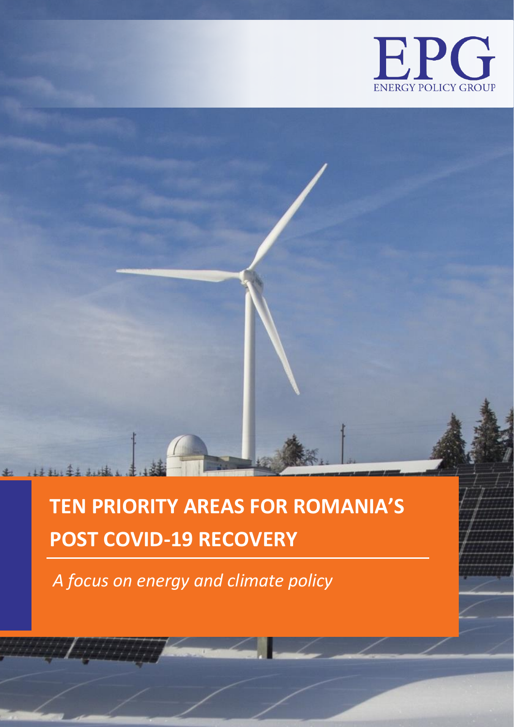

# **TEN PRIORITY AREAS FOR ROMANIA'S POST COVID-19 RECOVERY**

*A focus on energy and climate policy*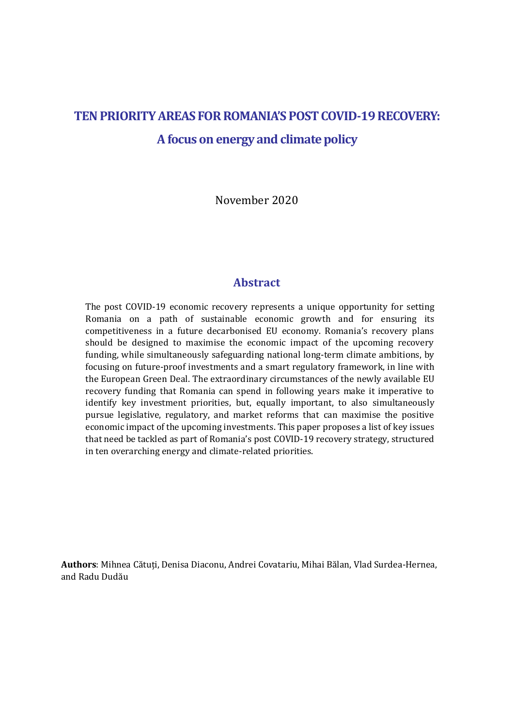## **TENPRIORITY AREAS FOR ROMANIA'S POST COVID-19 RECOVERY: Afocus on energy and climate policy**

November 2020

### **Abstract**

The post COVID-19 economic recovery represents a unique opportunity for setting Romania on a path of sustainable economic growth and for ensuring its competitiveness in a future decarbonised EU economy. Romania's recovery plans should be designed to maximise the economic impact of the upcoming recovery funding, while simultaneously safeguarding national long-term climate ambitions, by focusing on future-proof investments and a smart regulatory framework, in line with the European Green Deal. The extraordinary circumstances of the newly available EU recovery funding that Romania can spend in following years make it imperative to identify key investment priorities, but, equally important, to also simultaneously pursue legislative, regulatory, and market reforms that can maximise the positive economic impact of the upcoming investments. This paper proposes a list of key issues that need be tackled as part of Romania's post COVID-19 recovery strategy, structured in ten overarching energy and climate-related priorities.

**Authors**: Mihnea Cătuți, Denisa Diaconu, Andrei Covatariu, Mihai Bălan, Vlad Surdea-Hernea, and Radu Dudău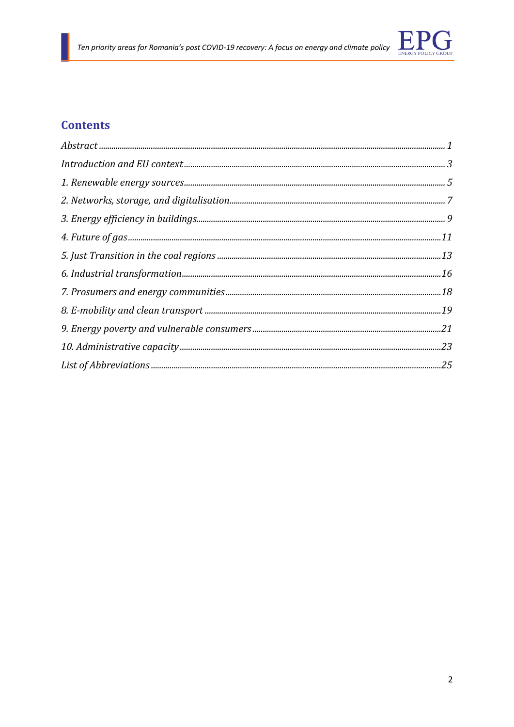

### **Contents**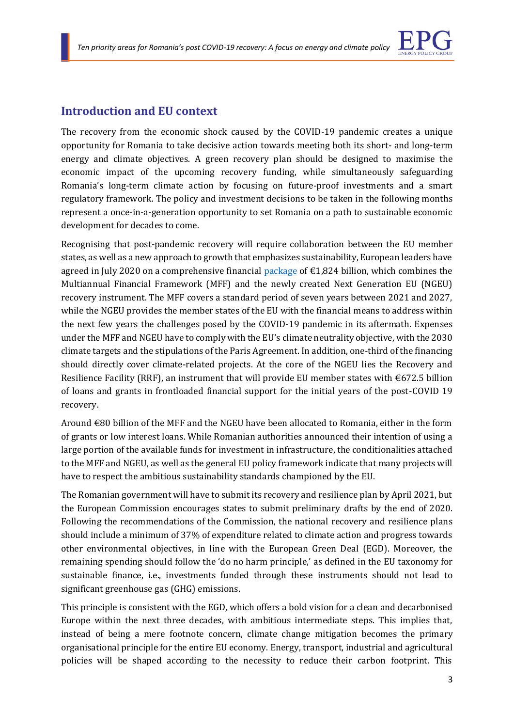

### **Introduction and EU context**

The recovery from the economic shock caused by the COVID-19 pandemic creates a unique opportunity for Romania to take decisive action towards meeting both its short- and long-term energy and climate objectives. A green recovery plan should be designed to maximise the economic impact of the upcoming recovery funding, while simultaneously safeguarding Romania's long-term climate action by focusing on future-proof investments and a smart regulatory framework. The policy and investment decisions to be taken in the following months represent a once-in-a-generation opportunity to set Romania on a path to sustainable economic development for decades to come.

Recognising that post-pandemic recovery will require collaboration between the EU member states, as well as a new approach to growth that emphasizes sustainability, European leaders have agreed in July 2020 on a comprehensive financial [package](https://www.consilium.europa.eu/media/45109/210720-euco-final-conclusions-en.pdf) of  $\epsilon$ 1,824 billion, which combines the Multiannual Financial Framework (MFF) and the newly created Next Generation EU (NGEU) recovery instrument. The MFF covers a standard period of seven years between 2021 and 2027, while the NGEU provides the member states of the EU with the financial means to address within the next few years the challenges posed by the COVID-19 pandemic in its aftermath. Expenses under the MFF and NGEU have to comply with the EU's climate neutrality objective, with the 2030 climate targets and the stipulations of the Paris Agreement. In addition, one-third of the financing should directly cover climate-related projects. At the core of the NGEU lies the Recovery and Resilience Facility (RRF), an instrument that will provide EU member states with  $\epsilon$ 672.5 billion of loans and grants in frontloaded financial support for the initial years of the post-COVID 19 recovery.

Around €80 billion of the MFF and the NGEU have been allocated to Romania, either in the form of grants or low interest loans. While Romanian authorities announced their intention of using a large portion of the available funds for investment in infrastructure, the conditionalities attached to the MFF and NGEU, as well as the general EU policy framework indicate that many projects will have to respect the ambitious sustainability standards championed by the EU.

The Romanian government will have to submit its recovery and resilience plan by April 2021, but the European Commission encourages states to submit preliminary drafts by the end of 2020. Following the recommendations of the Commission, the national recovery and resilience plans should include a minimum of 37% of expenditure related to climate action and progress towards other environmental objectives, in line with the European Green Deal (EGD). Moreover, the remaining spending should follow the 'do no harm principle,' as defined in the EU taxonomy for sustainable finance, i.e., investments funded through these instruments should not lead to significant greenhouse gas (GHG) emissions.

This principle is consistent with the EGD, which offers a bold vision for a clean and decarbonised Europe within the next three decades, with ambitious intermediate steps. This implies that, instead of being a mere footnote concern, climate change mitigation becomes the primary organisational principle for the entire EU economy. Energy, transport, industrial and agricultural policies will be shaped according to the necessity to reduce their carbon footprint. This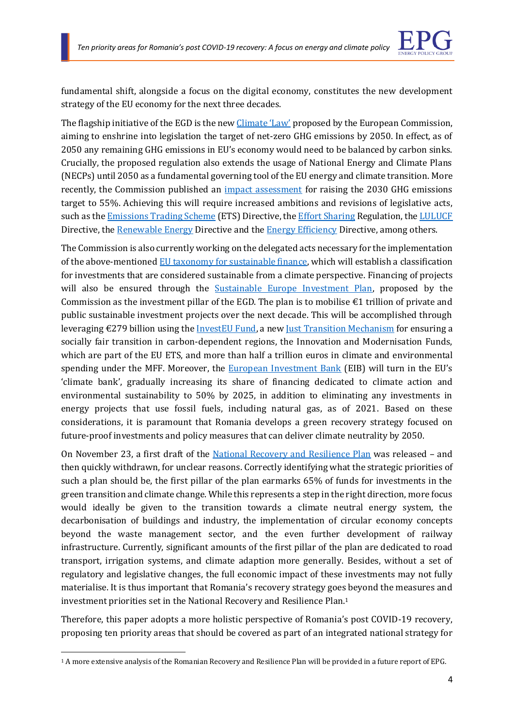

fundamental shift, alongside a focus on the digital economy, constitutes the new development strategy of the EU economy for the next three decades.

The flagship initiative of the EGD is the new [Climate 'Law'](https://eur-lex.europa.eu/legal-content/EN/TXT/?qid=1588581905912&uri=CELEX:52020PC0080) proposed by the European Commission, aiming to enshrine into legislation the target of net-zero GHG emissions by 2050. In effect, as of 2050 any remaining GHG emissions in EU's economy would need to be balanced by carbon sinks. Crucially, the proposed regulation also extends the usage of National Energy and Climate Plans (NECPs) until 2050 as a fundamental governing tool of the EU energy and climate transition. More recently, the Commission published an [impact assessment](https://eur-lex.europa.eu/legal-content/EN/TXT/?uri=CELEX%3A52020SC0176) for raising the 2030 GHG emissions target to 55%. Achieving this will require increased ambitions and revisions of legislative acts, such as th[e Emissions Trading Scheme](https://eur-lex.europa.eu/legal-content/EN/TXT/?uri=uriserv:OJ.L_.2018.076.01.0003.01.ENG) (ETS) Directive, the [Effort Sharing](https://eur-lex.europa.eu/legal-content/EN/TXT/?uri=uriserv:OJ.L_.2018.156.01.0026.01.ENG) Regulation, th[e LULUCF](https://eur-lex.europa.eu/legal-content/EN/TXT/?uri=uriserv:OJ.L_.2018.156.01.0001.01.ENG) Directive, the [Renewable Energy](https://eur-lex.europa.eu/legal-content/EN/TXT/?uri=uriserv:OJ.L_.2018.328.01.0082.01.ENG&toc=OJ:L:2018:328:TOC) Directive and the [Energy Efficiency](https://eur-lex.europa.eu/legal-content/EN/TXT/?uri=uriserv%3AOJ.L_.2018.328.01.0210.01.ENG) Directive, among others.

The Commission is also currently working on the delegated acts necessary for the implementation of the above-mentioned [EU taxonomy for sustainable finance,](https://data.consilium.europa.eu/doc/document/ST-5639-2020-INIT/en/pdf) which will establish a classification for investments that are considered sustainable from a climate perspective. Financing of projects will also be ensured through the [Sustainable Europe Investment Plan,](https://eur-lex.europa.eu/legal-content/EN/TXT/?uri=CELEX%3A52020DC0021) proposed by the Commission as the investment pillar of the EGD. The plan is to mobilise  $\epsilon$ 1 trillion of private and public sustainable investment projects over the next decade. This will be accomplished through leveraging  $\epsilon$ 279 billion using th[e InvestEU Fund,](https://ec.europa.eu/commission/priorities/jobs-growth-and-investment/investment-plan-europe-juncker-plan/whats-next-investeu-programme-2021-2027_en#documents) a ne[w Just Transition Mechanism](https://eur-lex.europa.eu/legal-content/EN/TXT/?uri=CELEX%3A52020PC0022) for ensuring a socially fair transition in carbon-dependent regions, the Innovation and Modernisation Funds, which are part of the EU ETS, and more than half a trillion euros in climate and environmental spending under the MFF. Moreover, the **European Investment Bank** (EIB) will turn in the EU's 'climate bank', gradually increasing its share of financing dedicated to climate action and environmental sustainability to 50% by 2025, in addition to eliminating any investments in energy projects that use fossil fuels, including natural gas, as of 2021. Based on these considerations, it is paramount that Romania develops a green recovery strategy focused on future-proof investments and policy measures that can deliver climate neutrality by 2050.

On November 23, a first draft of the [National Recovery and Resilience Plan](https://mfe.gov.ro/wp-content/uploads/2020/11/552f7223386f7e91eb26c33d2e397642.pdf) was released – and then quickly withdrawn, for unclear reasons. Correctly identifying what the strategic priorities of such a plan should be, the first pillar of the plan earmarks 65% of funds for investments in the green transition and climate change. While this represents a step in the right direction, more focus would ideally be given to the transition towards a climate neutral energy system, the decarbonisation of buildings and industry, the implementation of circular economy concepts beyond the waste management sector, and the even further development of railway infrastructure. Currently, significant amounts of the first pillar of the plan are dedicated to road transport, irrigation systems, and climate adaption more generally. Besides, without a set of regulatory and legislative changes, the full economic impact of these investments may not fully materialise. It is thus important that Romania's recovery strategy goes beyond the measures and investment priorities set in the National Recovery and Resilience Plan.<sup>1</sup>

Therefore, this paper adopts a more holistic perspective of Romania's post COVID-19 recovery, proposing ten priority areas that should be covered as part of an integrated national strategy for

<sup>1</sup> A more extensive analysis of the Romanian Recovery and Resilience Plan will be provided in a future report of EPG.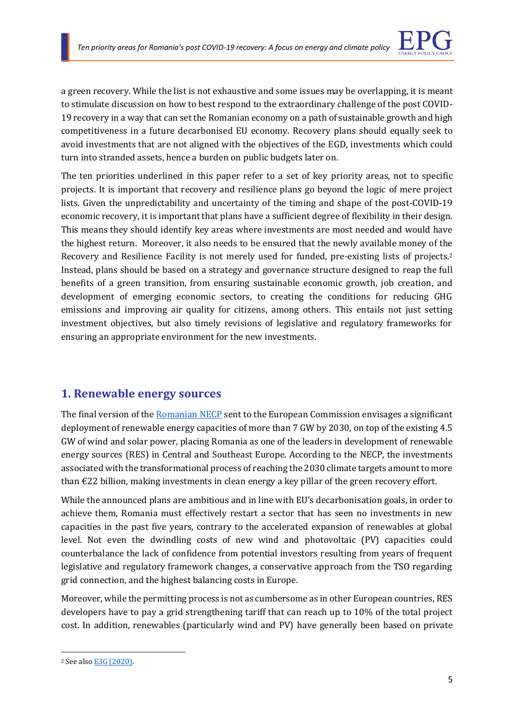

a green recovery. While the list is not exhaustive and some issues may be overlapping, it is meant to stimulate discussion on how to best respond to the extraordinary challenge of the post COVID-19 recovery in a way that can set the Romanian economy on a path of sustainable growth and high competitiveness in a future decarbonised EU economy. Recovery plans should equally seek to avoid investments that are not aligned with the objectives of the EGD, investments which could turn into stranded assets, hence a burden on public budgets later on.

The ten priorities underlined in this paper refer to a set of key priority areas, not to specific projects. It is important that recovery and resilience plans go beyond the logic of mere project lists. Given the unpredictability and uncertainty of the timing and shape of the post-COVID-19 economic recovery, it is important that plans have a sufficient degree of flexibility in their design. This means they should identify key areas where investments are most needed and would have the highest return. Moreover, it also needs to be ensured that the newly available money of the Recovery and Resilience Facility is not merely used for funded, pre-existing lists of projects.<sup>2</sup> Instead, plans should be based on a strategy and governance structure designed to reap the full benefits of a green transition, from ensuring sustainable economic growth, job creation, and development of emerging economic sectors, to creating the conditions for reducing GHG emissions and improving air quality for citizens, among others. This entails not just setting investment objectives, but also timely revisions of legislative and regulatory frameworks for ensuring an appropriate environment for the new investments.

### **1. Renewable energy sources**

The final version of the [Romanian NECP](https://ec.europa.eu/energy/sites/ener/files/documents/ro_final_necp_main_en.pdf) sent to the European Commission envisages a significant deployment of renewable energy capacities of more than 7 GW by 2030, on top of the existing 4.5 GW of wind and solar power, placing Romania as one of the leaders in development of renewable energy sources (RES) in Central and Southeast Europe. According to the NECP, the investments associated with the transformational process of reaching the 2030 climate targets amount to more than  $\epsilon$ 22 billion, making investments in clean energy a key pillar of the green recovery effort.

While the announced plans are ambitious and in line with EU's decarbonisation goals, in order to achieve them, Romania must effectively restart a sector that has seen no investments in new capacities in the past five years, contrary to the accelerated expansion of renewables at global level. Not even the dwindling costs of new wind and photovoltaic (PV) capacities could counterbalance the lack of confidence from potential investors resulting from years of frequent legislative and regulatory framework changes, a conservative approach from the TSO regarding grid connection, and the highest balancing costs in Europe.

Moreover, while the permitting process is not as cumbersome as in other European countries, RES developers have to pay a grid strengthening tariff that can reach up to 10% of the total project cost. In addition, renewables (particularly wind and PV) have generally been based on private

<sup>2</sup> See als[o E3G \(2020\).](https://www.e3g.org/wp-content/uploads/E3G_2020_EU_Recovery-Plans.pdf)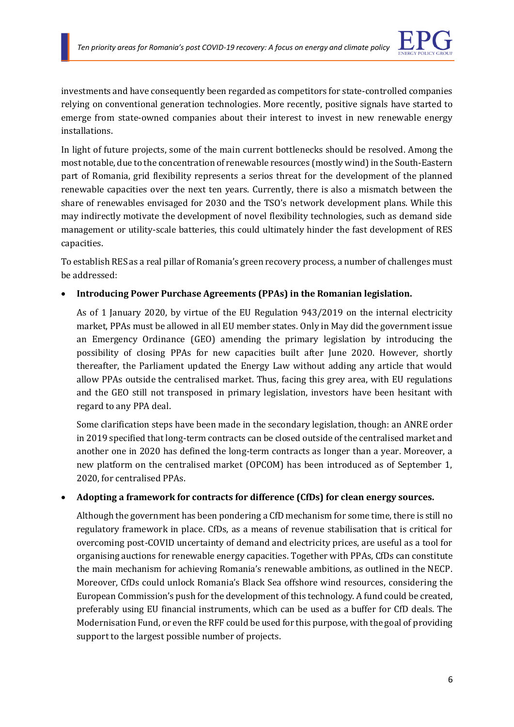

investments and have consequently been regarded as competitors for state-controlled companies relying on conventional generation technologies. More recently, positive signals have started to emerge from state-owned companies about their interest to invest in new renewable energy installations.

In light of future projects, some of the main current bottlenecks should be resolved. Among the most notable, due to the concentration of renewable resources (mostly wind) in the South-Eastern part of Romania, grid flexibility represents a serios threat for the development of the planned renewable capacities over the next ten years. Currently, there is also a mismatch between the share of renewables envisaged for 2030 and the TSO's network development plans. While this may indirectly motivate the development of novel flexibility technologies, such as demand side management or utility-scale batteries, this could ultimately hinder the fast development of RES capacities.

To establish RES as a real pillar of Romania's green recovery process, a number of challenges must be addressed:

### • **Introducing Power Purchase Agreements (PPAs) in the Romanian legislation.**

As of 1 January 2020, by virtue of the EU Regulation 943/2019 on the internal electricity market, PPAs must be allowed in all EU member states. Only in May did the government issue an Emergency Ordinance (GEO) amending the primary legislation by introducing the possibility of closing PPAs for new capacities built after June 2020. However, shortly thereafter, the Parliament updated the Energy Law without adding any article that would allow PPAs outside the centralised market. Thus, facing this grey area, with EU regulations and the GEO still not transposed in primary legislation, investors have been hesitant with regard to any PPA deal.

Some clarification steps have been made in the secondary legislation, though: an ANRE order in 2019 specified that long-term contracts can be closed outside of the centralised market and another one in 2020 has defined the long-term contracts as longer than a year. Moreover, a new platform on the centralised market (OPCOM) has been introduced as of September 1, 2020, for centralised PPAs.

#### • **Adopting a framework for contracts for difference (CfDs) for clean energy sources.**

Although the government has been pondering a CfD mechanism for some time, there is still no regulatory framework in place. CfDs, as a means of revenue stabilisation that is critical for overcoming post-COVID uncertainty of demand and electricity prices, are useful as a tool for organising auctions for renewable energy capacities. Together with PPAs, CfDs can constitute the main mechanism for achieving Romania's renewable ambitions, as outlined in the NECP. Moreover, CfDs could unlock Romania's Black Sea offshore wind resources, considering the European Commission's push for the development of this technology. A fund could be created, preferably using EU financial instruments, which can be used as a buffer for CfD deals. The Modernisation Fund, or even the RFF could be used for this purpose, with the goal of providing support to the largest possible number of projects.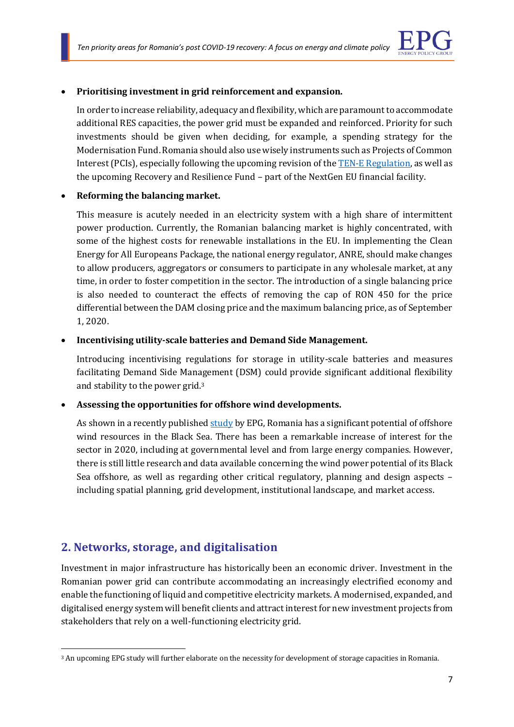

### • **Prioritising investment in grid reinforcement and expansion.**

In order to increase reliability, adequacy and flexibility, which are paramount to accommodate additional RES capacities, the power grid must be expanded and reinforced. Priority for such investments should be given when deciding, for example, a spending strategy for the Modernisation Fund. Romania should also use wisely instruments such as Projects of Common Interest (PCIs), especially following the upcoming revision of th[e TEN-E Regulation,](https://eur-lex.europa.eu/legal-content/en/TXT/?uri=celex%3A32013R0347) as well as the upcoming Recovery and Resilience Fund – part of the NextGen EU financial facility.

#### • **Reforming the balancing market.**

This measure is acutely needed in an electricity system with a high share of intermittent power production. Currently, the Romanian balancing market is highly concentrated, with some of the highest costs for renewable installations in the EU. In implementing the Clean Energy for All Europeans Package, the national energy regulator, ANRE, should make changes to allow producers, aggregators or consumers to participate in any wholesale market, at any time, in order to foster competition in the sector. The introduction of a single balancing price is also needed to counteract the effects of removing the cap of RON 450 for the price differential between the DAM closing price and the maximum balancing price, as of September 1, 2020.

#### • **Incentivising utility-scale batteries and Demand Side Management.**

Introducing incentivising regulations for storage in utility-scale batteries and measures facilitating Demand Side Management (DSM) could provide significant additional flexibility and stability to the power grid.<sup>3</sup>

#### • **Assessing the opportunities for offshore wind developments.**

As shown in a recently published [study](https://www.enpg.ro/romanias-offshore-wind-energy-resources-natural-potential-regulatory-framework-and-development-prospects/) by EPG, Romania has a significant potential of offshore wind resources in the Black Sea. There has been a remarkable increase of interest for the sector in 2020, including at governmental level and from large energy companies. However, there is still little research and data available concerning the wind power potential of its Black Sea offshore, as well as regarding other critical regulatory, planning and design aspects – including spatial planning, grid development, institutional landscape, and market access.

### **2. Networks, storage, and digitalisation**

Investment in major infrastructure has historically been an economic driver. Investment in the Romanian power grid can contribute accommodating an increasingly electrified economy and enable the functioning of liquid and competitive electricity markets. A modernised, expanded, and digitalised energy system will benefit clients and attract interest for new investment projects from stakeholders that rely on a well-functioning electricity grid.

<sup>3</sup> An upcoming EPG study will further elaborate on the necessity for development of storage capacities in Romania.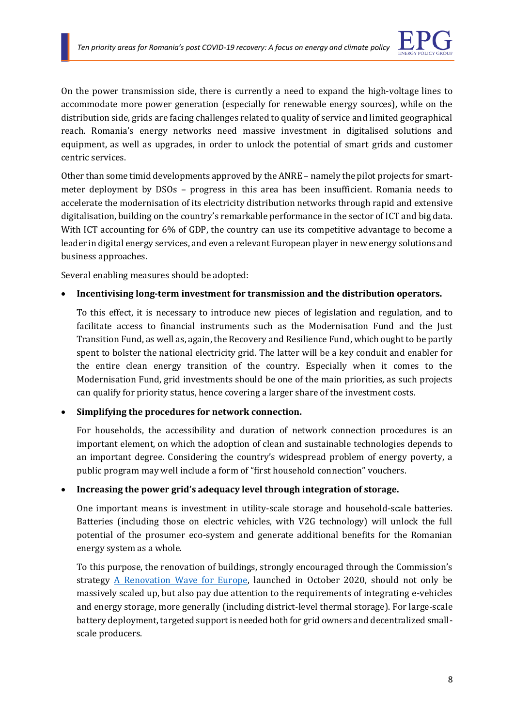

On the power transmission side, there is currently a need to expand the high-voltage lines to accommodate more power generation (especially for renewable energy sources), while on the distribution side, grids are facing challenges related to quality of service and limited geographical reach. Romania's energy networks need massive investment in digitalised solutions and equipment, as well as upgrades, in order to unlock the potential of smart grids and customer centric services.

Other than some timid developments approved by the ANRE – namely the pilot projects for smartmeter deployment by DSOs – progress in this area has been insufficient. Romania needs to accelerate the modernisation of its electricity distribution networks through rapid and extensive digitalisation, building on the country's remarkable performance in the sector of ICT and big data. With ICT accounting for 6% of GDP, the country can use its competitive advantage to become a leader in digital energy services, and even a relevant European player in new energy solutions and business approaches.

Several enabling measures should be adopted:

### • **Incentivising long-term investment for transmission and the distribution operators.**

To this effect, it is necessary to introduce new pieces of legislation and regulation, and to facilitate access to financial instruments such as the Modernisation Fund and the Just Transition Fund, as well as, again, the Recovery and Resilience Fund, which ought to be partly spent to bolster the national electricity grid. The latter will be a key conduit and enabler for the entire clean energy transition of the country. Especially when it comes to the Modernisation Fund, grid investments should be one of the main priorities, as such projects can qualify for priority status, hence covering a larger share of the investment costs.

### • **Simplifying the procedures for network connection.**

For households, the accessibility and duration of network connection procedures is an important element, on which the adoption of clean and sustainable technologies depends to an important degree. Considering the country's widespread problem of energy poverty, a public program may well include a form of "first household connection" vouchers.

#### • **Increasing the power grid's adequacy level through integration of storage.**

One important means is investment in utility-scale storage and household-scale batteries. Batteries (including those on electric vehicles, with V2G technology) will unlock the full potential of the prosumer eco-system and generate additional benefits for the Romanian energy system as a whole.

To this purpose, the renovation of buildings, strongly encouraged through the Commission's strategy [A Renovation Wave for Europe,](https://ec.europa.eu/energy/sites/ener/files/eu_renovation_wave_strategy.pdf) launched in October 2020, should not only be massively scaled up, but also pay due attention to the requirements of integrating e-vehicles and energy storage, more generally (including district-level thermal storage). For large-scale battery deployment, targeted support is needed both for grid owners and decentralized smallscale producers.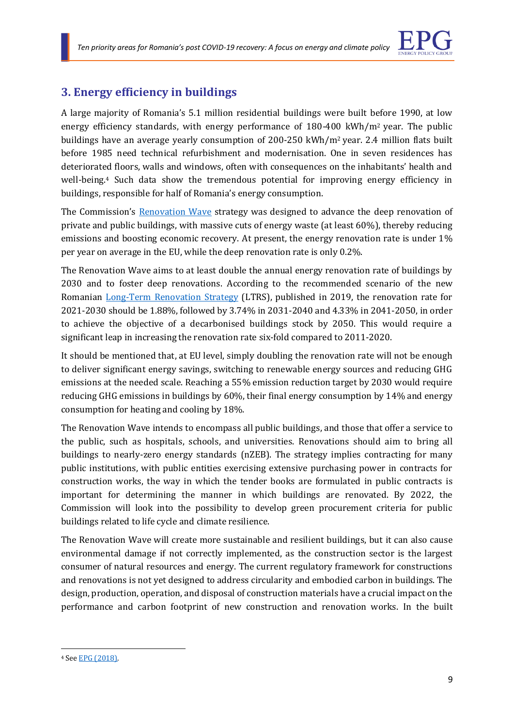

### **3. Energy efficiency in buildings**

A large majority of Romania's 5.1 million residential buildings were built before 1990, at low energy efficiency standards, with energy performance of 180-400 kWh/m<sup>2</sup> year. The public buildings have an average yearly consumption of  $200-250 \text{ kWh/m}^2$  year. 2.4 million flats built before 1985 need technical refurbishment and modernisation. One in seven residences has deteriorated floors, walls and windows, often with consequences on the inhabitants' health and well-being.<sup>4</sup> Such data show the tremendous potential for improving energy efficiency in buildings, responsible for half of Romania's energy consumption.

The Commission's [Renovation Wave](https://ec.europa.eu/energy/sites/ener/files/eu_renovation_wave_strategy.pdf) strategy was designed to advance the deep renovation of private and public buildings, with massive cuts of energy waste (at least 60%), thereby reducing emissions and boosting economic recovery. At present, the energy renovation rate is under 1% per year on average in the EU, while the deep renovation rate is only 0.2%.

The Renovation Wave aims to at least double the annual energy renovation rate of buildings by 2030 and to foster deep renovations. According to the recommended scenario of the new Romanian [Long-Term Renovation](https://www.mlpda.ro/uploads/articole/attachments/5dc55cf91eba4428436455.pdf) Strategy (LTRS), published in 2019, the renovation rate for 2021-2030 should be 1.88%, followed by 3.74% in 2031-2040 and 4.33% in 2041-2050, in order to achieve the objective of a decarbonised buildings stock by 2050. This would require a significant leap in increasing the renovation rate six-fold compared to 2011-2020.

It should be mentioned that, at EU level, simply doubling the renovation rate will not be enough to deliver significant energy savings, switching to renewable energy sources and reducing GHG emissions at the needed scale. Reaching a 55% emission reduction target by 2030 would require reducing GHG emissions in buildings by 60%, their final energy consumption by 14% and energy consumption for heating and cooling by 18%.

The Renovation Wave intends to encompass all public buildings, and those that offer a service to the public, such as hospitals, schools, and universities. Renovations should aim to bring all buildings to nearly-zero energy standards (nZEB). The strategy implies contracting for many public institutions, with public entities exercising extensive purchasing power in contracts for construction works, the way in which the tender books are formulated in public contracts is important for determining the manner in which buildings are renovated. By 2022, the Commission will look into the possibility to develop green procurement criteria for public buildings related to life cycle and climate resilience.

The Renovation Wave will create more sustainable and resilient buildings, but it can also cause environmental damage if not correctly implemented, as the construction sector is the largest consumer of natural resources and energy. The current regulatory framework for constructions and renovations is not yet designed to address circularity and embodied carbon in buildings. The design, production, operation, and disposal of construction materials have a crucial impact on the performance and carbon footprint of new construction and renovation works. In the built

<sup>4</sup> Se[e EPG \(2018\).](https://www.enpg.ro/raport-cresterea-eficientei-energetice-in-cladiri-in-romania-provocari-oportunitati-si-recomandari-de-politici/)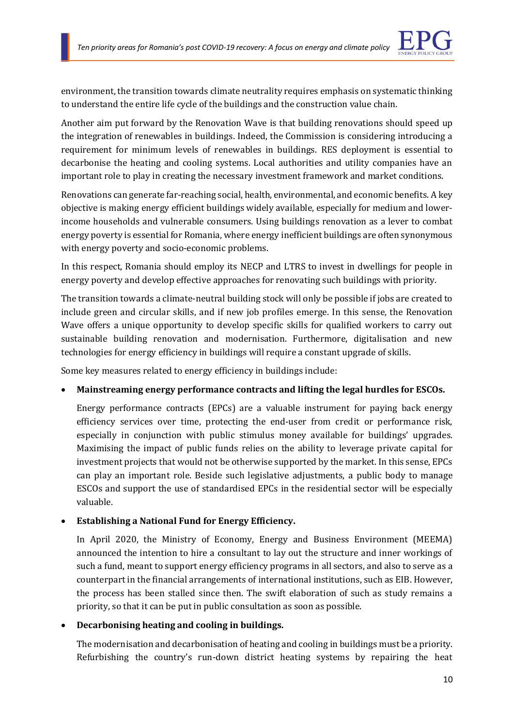environment, the transition towards climate neutrality requires emphasis on systematic thinking to understand the entire life cycle of the buildings and the construction value chain.

Another aim put forward by the Renovation Wave is that building renovations should speed up the integration of renewables in buildings. Indeed, the Commission is considering introducing a requirement for minimum levels of renewables in buildings. RES deployment is essential to decarbonise the heating and cooling systems. Local authorities and utility companies have an important role to play in creating the necessary investment framework and market conditions.

Renovations can generate far-reaching social, health, environmental, and economic benefits. A key objective is making energy efficient buildings widely available, especially for medium and lowerincome households and vulnerable consumers. Using buildings renovation as a lever to combat energy poverty is essential for Romania, where energy inefficient buildings are often synonymous with energy poverty and socio-economic problems.

In this respect, Romania should employ its NECP and LTRS to invest in dwellings for people in energy poverty and develop effective approaches for renovating such buildings with priority.

The transition towards a climate-neutral building stock will only be possible if jobs are created to include green and circular skills, and if new job profiles emerge. In this sense, the Renovation Wave offers a unique opportunity to develop specific skills for qualified workers to carry out sustainable building renovation and modernisation. Furthermore, digitalisation and new technologies for energy efficiency in buildings will require a constant upgrade of skills.

Some key measures related to energy efficiency in buildings include:

### • **Mainstreaming energy performance contracts and lifting the legal hurdles for ESCOs.**

Energy performance contracts (EPCs) are a valuable instrument for paying back energy efficiency services over time, protecting the end-user from credit or performance risk, especially in conjunction with public stimulus money available for buildings' upgrades. Maximising the impact of public funds relies on the ability to leverage private capital for investment projects that would not be otherwise supported by the market. In this sense, EPCs can play an important role. Beside such legislative adjustments, a public body to manage ESCOs and support the use of standardised EPCs in the residential sector will be especially valuable.

### • **Establishing a National Fund for Energy Efficiency.**

In April 2020, the Ministry of Economy, Energy and Business Environment (MEEMA) announced the intention to hire a consultant to lay out the structure and inner workings of such a fund, meant to support energy efficiency programs in all sectors, and also to serve as a counterpart in the financial arrangements of international institutions, such as EIB. However, the process has been stalled since then. The swift elaboration of such as study remains a priority, so that it can be put in public consultation as soon as possible.

### • **Decarbonising heating and cooling in buildings.**

The modernisation and decarbonisation of heating and cooling in buildings must be a priority. Refurbishing the country's run-down district heating systems by repairing the heat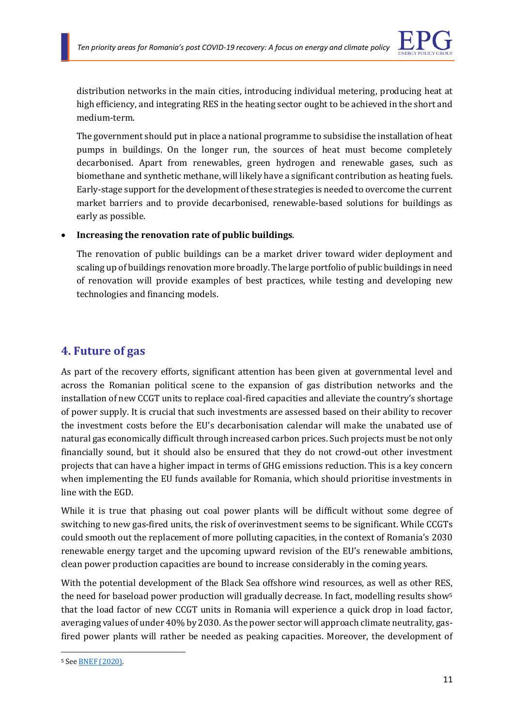

distribution networks in the main cities, introducing individual metering, producing heat at high efficiency, and integrating RES in the heating sector ought to be achieved in the short and medium-term.

The government should put in place a national programme to subsidise the installation of heat pumps in buildings. On the longer run, the sources of heat must become completely decarbonised. Apart from renewables, green hydrogen and renewable gases, such as biomethane and synthetic methane, will likely have a significant contribution as heating fuels. Early-stage support for the development of these strategies is needed to overcome the current market barriers and to provide decarbonised, renewable-based solutions for buildings as early as possible.

### • **Increasing the renovation rate of public buildings**.

The renovation of public buildings can be a market driver toward wider deployment and scaling up of buildings renovation more broadly. The large portfolio of public buildings in need of renovation will provide examples of best practices, while testing and developing new technologies and financing models.

### **4. Future of gas**

As part of the recovery efforts, significant attention has been given at governmental level and across the Romanian political scene to the expansion of gas distribution networks and the installation of new CCGT units to replace coal-fired capacities and alleviate the country's shortage of power supply. It is crucial that such investments are assessed based on their ability to recover the investment costs before the EU's decarbonisation calendar will make the unabated use of natural gas economically difficult through increased carbon prices. Such projects must be not only financially sound, but it should also be ensured that they do not crowd-out other investment projects that can have a higher impact in terms of GHG emissions reduction. This is a key concern when implementing the EU funds available for Romania, which should prioritise investments in line with the EGD.

While it is true that phasing out coal power plants will be difficult without some degree of switching to new gas-fired units, the risk of overinvestment seems to be significant. While CCGTs could smooth out the replacement of more polluting capacities, in the context of Romania's 2030 renewable energy target and the upcoming upward revision of the EU's renewable ambitions, clean power production capacities are bound to increase considerably in the coming years.

With the potential development of the Black Sea offshore wind resources, as well as other RES, the need for baseload power production will gradually decrease. In fact, modelling results show<sup>5</sup> that the load factor of new CCGT units in Romania will experience a quick drop in load factor, averaging values of under 40% by 2030. As the power sector will approach climate neutrality, gasfired power plants will rather be needed as peaking capacities. Moreover, the development of

<sup>5</sup> Se[e BNEF \(2020\).](https://assets.bbhub.io/professional/sites/24/BloombergNEF-Decarbonization-of-Eastern-Europe%E2%80%99s-Energy-Mix-Key-to-Higher-EU-Climate-Goals-Nov-2020.pdf)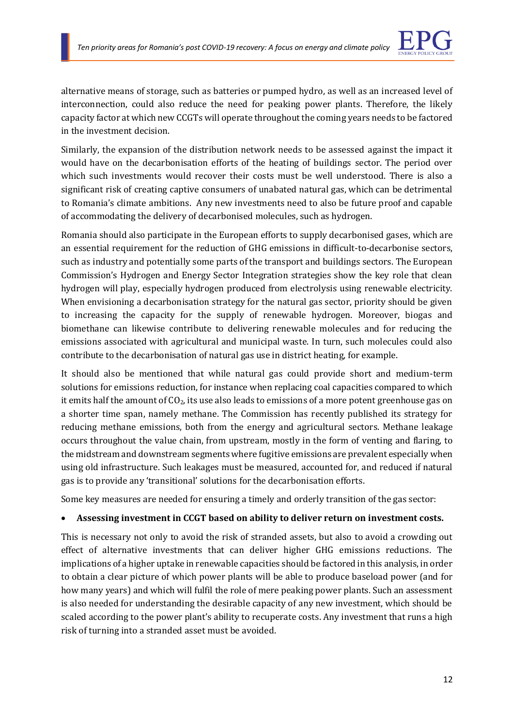

alternative means of storage, such as batteries or pumped hydro, as well as an increased level of interconnection, could also reduce the need for peaking power plants. Therefore, the likely capacity factor at which new CCGTs will operate throughout the coming years needs to be factored in the investment decision.

Similarly, the expansion of the distribution network needs to be assessed against the impact it would have on the decarbonisation efforts of the heating of buildings sector. The period over which such investments would recover their costs must be well understood. There is also a significant risk of creating captive consumers of unabated natural gas, which can be detrimental to Romania's climate ambitions. Any new investments need to also be future proof and capable of accommodating the delivery of decarbonised molecules, such as hydrogen.

Romania should also participate in the European efforts to supply decarbonised gases, which are an essential requirement for the reduction of GHG emissions in difficult-to-decarbonise sectors, such as industry and potentially some parts of the transport and buildings sectors. The European Commission's Hydrogen and Energy Sector Integration strategies show the key role that clean hydrogen will play, especially hydrogen produced from electrolysis using renewable electricity. When envisioning a decarbonisation strategy for the natural gas sector, priority should be given to increasing the capacity for the supply of renewable hydrogen. Moreover, biogas and biomethane can likewise contribute to delivering renewable molecules and for reducing the emissions associated with agricultural and municipal waste. In turn, such molecules could also contribute to the decarbonisation of natural gas use in district heating, for example.

It should also be mentioned that while natural gas could provide short and medium-term solutions for emissions reduction, for instance when replacing coal capacities compared to which it emits half the amount of CO<sub>2</sub>, its use also leads to emissions of a more potent greenhouse gas on a shorter time span, namely methane. The Commission has recently published its strategy for reducing methane emissions, both from the energy and agricultural sectors. Methane leakage occurs throughout the value chain, from upstream, mostly in the form of venting and flaring, to the midstream and downstream segments where fugitive emissions are prevalent especially when using old infrastructure. Such leakages must be measured, accounted for, and reduced if natural gas is to provide any 'transitional' solutions for the decarbonisation efforts.

Some key measures are needed for ensuring a timely and orderly transition of the gas sector:

### • **Assessing investment in CCGT based on ability to deliver return on investment costs.**

This is necessary not only to avoid the risk of stranded assets, but also to avoid a crowding out effect of alternative investments that can deliver higher GHG emissions reductions. The implications of a higher uptake in renewable capacities should be factored in this analysis, in order to obtain a clear picture of which power plants will be able to produce baseload power (and for how many years) and which will fulfil the role of mere peaking power plants. Such an assessment is also needed for understanding the desirable capacity of any new investment, which should be scaled according to the power plant's ability to recuperate costs. Any investment that runs a high risk of turning into a stranded asset must be avoided.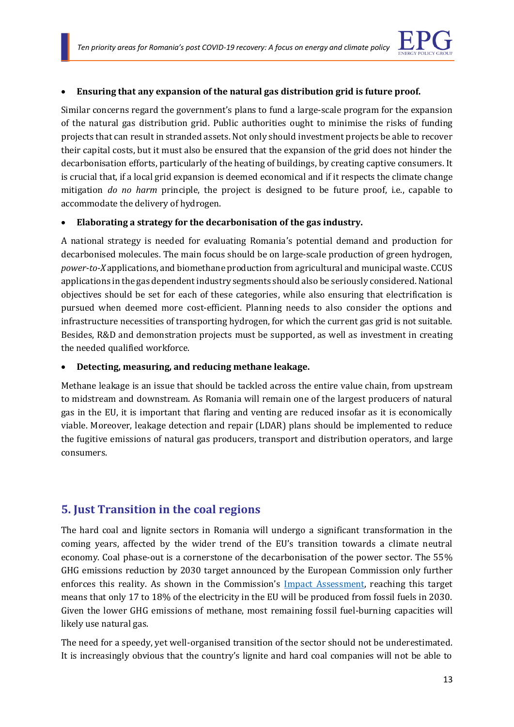

### • **Ensuring that any expansion of the natural gas distribution grid is future proof.**

Similar concerns regard the government's plans to fund a large-scale program for the expansion of the natural gas distribution grid. Public authorities ought to minimise the risks of funding projects that can result in stranded assets. Not only should investment projects be able to recover their capital costs, but it must also be ensured that the expansion of the grid does not hinder the decarbonisation efforts, particularly of the heating of buildings, by creating captive consumers. It is crucial that, if a local grid expansion is deemed economical and if it respects the climate change mitigation *do no harm* principle, the project is designed to be future proof, i.e., capable to accommodate the delivery of hydrogen.

#### • **Elaborating a strategy for the decarbonisation of the gas industry.**

A national strategy is needed for evaluating Romania's potential demand and production for decarbonised molecules. The main focus should be on large-scale production of green hydrogen, *power-to-X* applications, and biomethane production from agricultural and municipal waste. CCUS applications in the gas dependent industry segments should also be seriously considered. National objectives should be set for each of these categories, while also ensuring that electrification is pursued when deemed more cost-efficient. Planning needs to also consider the options and infrastructure necessities of transporting hydrogen, for which the current gas grid is not suitable. Besides, R&D and demonstration projects must be supported, as well as investment in creating the needed qualified workforce.

#### • **Detecting, measuring, and reducing methane leakage.**

Methane leakage is an issue that should be tackled across the entire value chain, from upstream to midstream and downstream. As Romania will remain one of the largest producers of natural gas in the EU, it is important that flaring and venting are reduced insofar as it is economically viable. Moreover, leakage detection and repair (LDAR) plans should be implemented to reduce the fugitive emissions of natural gas producers, transport and distribution operators, and large consumers.

### **5. Just Transition in the coal regions**

The hard coal and lignite sectors in Romania will undergo a significant transformation in the coming years, affected by the wider trend of the EU's transition towards a climate neutral economy. Coal phase-out is a cornerstone of the decarbonisation of the power sector. The 55% GHG emissions reduction by 2030 target announced by the European Commission only further enforces this reality. As shown in the Commission's [Impact Assessment,](https://eur-lex.europa.eu/legal-content/EN/TXT/?uri=CELEX%3A52020SC0176) reaching this target means that only 17 to 18% of the electricity in the EU will be produced from fossil fuels in 2030. Given the lower GHG emissions of methane, most remaining fossil fuel-burning capacities will likely use natural gas.

The need for a speedy, yet well-organised transition of the sector should not be underestimated. It is increasingly obvious that the country's lignite and hard coal companies will not be able to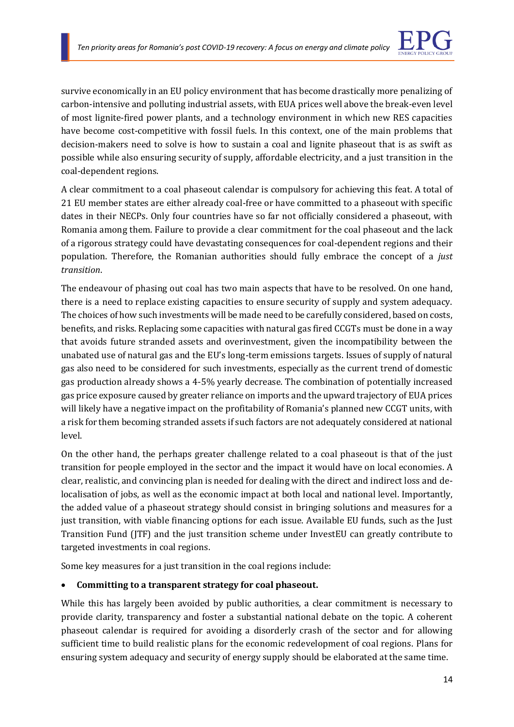

survive economically in an EU policy environment that has become drastically more penalizing of carbon-intensive and polluting industrial assets, with EUA prices well above the break-even level of most lignite-fired power plants, and a technology environment in which new RES capacities have become cost-competitive with fossil fuels. In this context, one of the main problems that decision-makers need to solve is how to sustain a coal and lignite phaseout that is as swift as possible while also ensuring security of supply, affordable electricity, and a just transition in the coal-dependent regions.

A clear commitment to a coal phaseout calendar is compulsory for achieving this feat. A total of 21 EU member states are either already coal-free or have committed to a phaseout with specific dates in their NECPs. Only four countries have so far not officially considered a phaseout, with Romania among them. Failure to provide a clear commitment for the coal phaseout and the lack of a rigorous strategy could have devastating consequences for coal-dependent regions and their population. Therefore, the Romanian authorities should fully embrace the concept of a *just transition*.

The endeavour of phasing out coal has two main aspects that have to be resolved. On one hand, there is a need to replace existing capacities to ensure security of supply and system adequacy. The choices of how such investments will be made need to be carefully considered, based on costs, benefits, and risks. Replacing some capacities with natural gas fired CCGTs must be done in a way that avoids future stranded assets and overinvestment, given the incompatibility between the unabated use of natural gas and the EU's long-term emissions targets. Issues of supply of natural gas also need to be considered for such investments, especially as the current trend of domestic gas production already shows a 4-5% yearly decrease. The combination of potentially increased gas price exposure caused by greater reliance on imports and the upward trajectory of EUA prices will likely have a negative impact on the profitability of Romania's planned new CCGT units, with a risk for them becoming stranded assets if such factors are not adequately considered at national level.

On the other hand, the perhaps greater challenge related to a coal phaseout is that of the just transition for people employed in the sector and the impact it would have on local economies. A clear, realistic, and convincing plan is needed for dealing with the direct and indirect loss and delocalisation of jobs, as well as the economic impact at both local and national level. Importantly, the added value of a phaseout strategy should consist in bringing solutions and measures for a just transition, with viable financing options for each issue. Available EU funds, such as the Just Transition Fund (JTF) and the just transition scheme under InvestEU can greatly contribute to targeted investments in coal regions.

Some key measures for a just transition in the coal regions include:

### • **Committing to a transparent strategy for coal phaseout.**

While this has largely been avoided by public authorities, a clear commitment is necessary to provide clarity, transparency and foster a substantial national debate on the topic. A coherent phaseout calendar is required for avoiding a disorderly crash of the sector and for allowing sufficient time to build realistic plans for the economic redevelopment of coal regions. Plans for ensuring system adequacy and security of energy supply should be elaborated at the same time.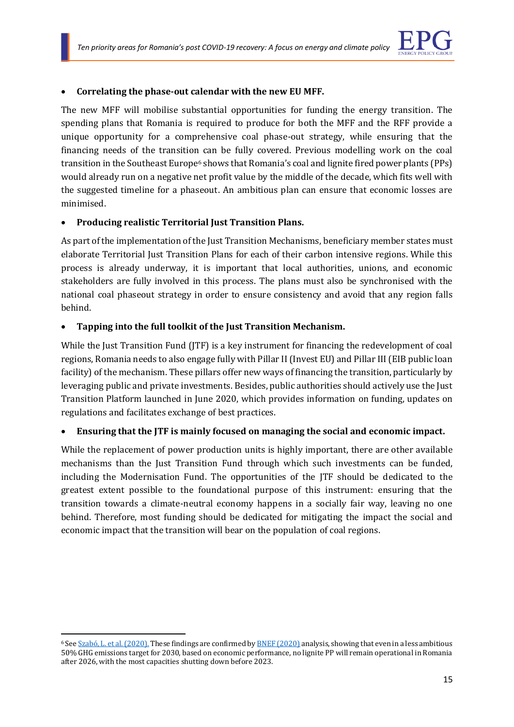

#### • **Correlating the phase-out calendar with the new EU MFF.**

The new MFF will mobilise substantial opportunities for funding the energy transition. The spending plans that Romania is required to produce for both the MFF and the RFF provide a unique opportunity for a comprehensive coal phase-out strategy, while ensuring that the financing needs of the transition can be fully covered. Previous modelling work on the coal transition in the Southeast Europe<sup>6</sup> shows that Romania's coal and lignite fired power plants (PPs) would already run on a negative net profit value by the middle of the decade, which fits well with the suggested timeline for a phaseout. An ambitious plan can ensure that economic losses are minimised.

### • **Producing realistic Territorial Just Transition Plans.**

As part of the implementation of the Just Transition Mechanisms, beneficiary member states must elaborate Territorial Just Transition Plans for each of their carbon intensive regions. While this process is already underway, it is important that local authorities, unions, and economic stakeholders are fully involved in this process. The plans must also be synchronised with the national coal phaseout strategy in order to ensure consistency and avoid that any region falls behind.

### • **Tapping into the full toolkit of the Just Transition Mechanism.**

While the Just Transition Fund (JTF) is a key instrument for financing the redevelopment of coal regions, Romania needs to also engage fully with Pillar II (Invest EU) and Pillar III (EIB public loan facility) of the mechanism. These pillars offer new ways of financing the transition, particularly by leveraging public and private investments. Besides, public authorities should actively use the Just Transition Platform launched in June 2020, which provides information on funding, updates on regulations and facilitates exchange of best practices.

### • **Ensuring that the JTF is mainly focused on managing the social and economic impact.**

While the replacement of power production units is highly important, there are other available mechanisms than the Just Transition Fund through which such investments can be funded, including the Modernisation Fund. The opportunities of the JTF should be dedicated to the greatest extent possible to the foundational purpose of this instrument: ensuring that the transition towards a climate-neutral economy happens in a socially fair way, leaving no one behind. Therefore, most funding should be dedicated for mitigating the impact the social and economic impact that the transition will bear on the population of coal regions.

<sup>6</sup> Se[e Szabó, L. et al. \(2020\).](https://www.enpg.ro/wp-content/uploads/2020/05/SIP-report-Final_SE3T.Net_May-2020.pdf) These findings are confirmed b[y BNEF \(2020\)](https://assets.bbhub.io/professional/sites/24/BloombergNEF-Decarbonization-of-Eastern-Europe%E2%80%99s-Energy-Mix-Key-to-Higher-EU-Climate-Goals-Nov-2020.pdf) analysis, showing that even in a less ambitious 50% GHG emissions target for 2030, based on economic performance, no lignite PP will remain operational in Romania after 2026, with the most capacities shutting down before 2023.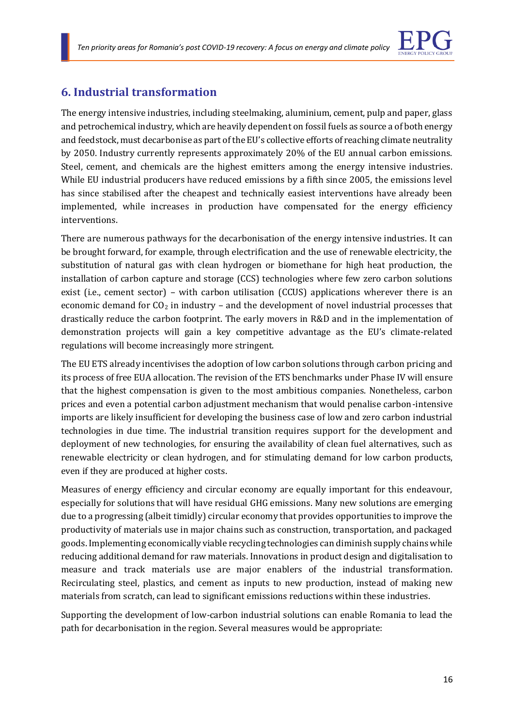

### **6. Industrial transformation**

The energy intensive industries, including steelmaking, aluminium, cement, pulp and paper, glass and petrochemical industry, which are heavily dependent on fossil fuels as source a of both energy and feedstock, must decarbonise as part of the EU's collective efforts of reaching climate neutrality by 2050. Industry currently represents approximately 20% of the EU annual carbon emissions. Steel, cement, and chemicals are the highest emitters among the energy intensive industries. While EU industrial producers have reduced emissions by a fifth since 2005, the emissions level has since stabilised after the cheapest and technically easiest interventions have already been implemented, while increases in production have compensated for the energy efficiency interventions.

There are numerous pathways for the decarbonisation of the energy intensive industries. It can be brought forward, for example, through electrification and the use of renewable electricity, the substitution of natural gas with clean hydrogen or biomethane for high heat production, the installation of carbon capture and storage (CCS) technologies where few zero carbon solutions exist (i.e., cement sector) – with carbon utilisation (CCUS) applications wherever there is an economic demand for  $CO<sub>2</sub>$  in industry – and the development of novel industrial processes that drastically reduce the carbon footprint. The early movers in R&D and in the implementation of demonstration projects will gain a key competitive advantage as the EU's climate-related regulations will become increasingly more stringent.

The EU ETS already incentivises the adoption of low carbon solutions through carbon pricing and its process of free EUA allocation. The revision of the ETS benchmarks under Phase IV will ensure that the highest compensation is given to the most ambitious companies. Nonetheless, carbon prices and even a potential carbon adjustment mechanism that would penalise carbon-intensive imports are likely insufficient for developing the business case of low and zero carbon industrial technologies in due time. The industrial transition requires support for the development and deployment of new technologies, for ensuring the availability of clean fuel alternatives, such as renewable electricity or clean hydrogen, and for stimulating demand for low carbon products, even if they are produced at higher costs.

Measures of energy efficiency and circular economy are equally important for this endeavour, especially for solutions that will have residual GHG emissions. Many new solutions are emerging due to a progressing (albeit timidly) circular economy that provides opportunities to improve the productivity of materials use in major chains such as construction, transportation, and packaged goods. Implementing economically viable recycling technologies can diminish supply chains while reducing additional demand for raw materials. Innovations in product design and digitalisation to measure and track materials use are major enablers of the industrial transformation. Recirculating steel, plastics, and cement as inputs to new production, instead of making new materials from scratch, can lead to significant emissions reductions within these industries.

Supporting the development of low-carbon industrial solutions can enable Romania to lead the path for decarbonisation in the region. Several measures would be appropriate: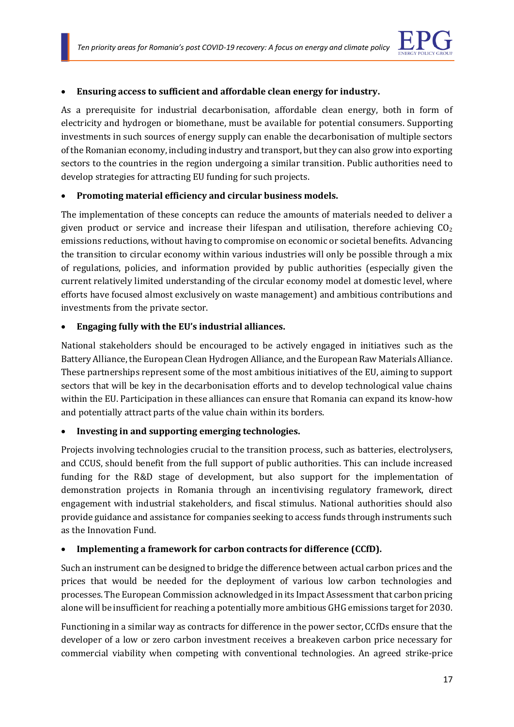

### • **Ensuring access to sufficient and affordable clean energy for industry.**

As a prerequisite for industrial decarbonisation, affordable clean energy, both in form of electricity and hydrogen or biomethane, must be available for potential consumers. Supporting investments in such sources of energy supply can enable the decarbonisation of multiple sectors of the Romanian economy, including industry and transport, but they can also grow into exporting sectors to the countries in the region undergoing a similar transition. Public authorities need to develop strategies for attracting EU funding for such projects.

### • **Promoting material efficiency and circular business models.**

The implementation of these concepts can reduce the amounts of materials needed to deliver a given product or service and increase their lifespan and utilisation, therefore achieving  $CO<sub>2</sub>$ emissions reductions, without having to compromise on economic or societal benefits. Advancing the transition to circular economy within various industries will only be possible through a mix of regulations, policies, and information provided by public authorities (especially given the current relatively limited understanding of the circular economy model at domestic level, where efforts have focused almost exclusively on waste management) and ambitious contributions and investments from the private sector.

### • **Engaging fully with the EU's industrial alliances.**

National stakeholders should be encouraged to be actively engaged in initiatives such as the Battery Alliance, the European Clean Hydrogen Alliance, and the European Raw Materials Alliance. These partnerships represent some of the most ambitious initiatives of the EU, aiming to support sectors that will be key in the decarbonisation efforts and to develop technological value chains within the EU. Participation in these alliances can ensure that Romania can expand its know-how and potentially attract parts of the value chain within its borders.

### • **Investing in and supporting emerging technologies.**

Projects involving technologies crucial to the transition process, such as batteries, electrolysers, and CCUS, should benefit from the full support of public authorities. This can include increased funding for the R&D stage of development, but also support for the implementation of demonstration projects in Romania through an incentivising regulatory framework, direct engagement with industrial stakeholders, and fiscal stimulus. National authorities should also provide guidance and assistance for companies seeking to access funds through instruments such as the Innovation Fund.

### • **Implementing a framework for carbon contracts for difference (CCfD).**

Such an instrument can be designed to bridge the difference between actual carbon prices and the prices that would be needed for the deployment of various low carbon technologies and processes. The European Commission acknowledged in its Impact Assessment that carbon pricing alone will be insufficient for reaching a potentially more ambitious GHG emissions target for 2030.

Functioning in a similar way as contracts for difference in the power sector, CCfDs ensure that the developer of a low or zero carbon investment receives a breakeven carbon price necessary for commercial viability when competing with conventional technologies. An agreed strike-price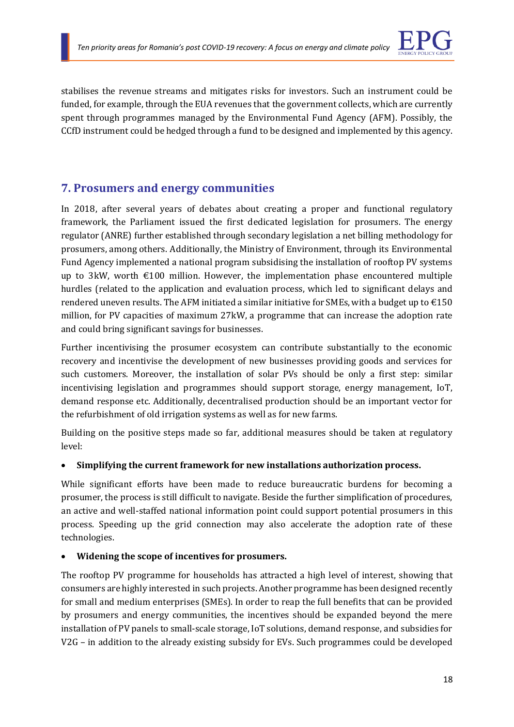

stabilises the revenue streams and mitigates risks for investors. Such an instrument could be funded, for example, through the EUA revenues that the government collects, which are currently spent through programmes managed by the Environmental Fund Agency (AFM). Possibly, the CCfD instrument could be hedged through a fund to be designed and implemented by this agency.

### **7. Prosumers and energy communities**

In 2018, after several years of debates about creating a proper and functional regulatory framework, the Parliament issued the first dedicated legislation for prosumers. The energy regulator (ANRE) further established through secondary legislation a net billing methodology for prosumers, among others. Additionally, the Ministry of Environment, through its Environmental Fund Agency implemented a national program subsidising the installation of rooftop PV systems up to 3kW, worth  $\epsilon$ 100 million. However, the implementation phase encountered multiple hurdles (related to the application and evaluation process, which led to significant delays and rendered uneven results. The AFM initiated a similar initiative for SMEs, with a budget up to  $\text{\textsterling}150$ million, for PV capacities of maximum 27kW, a programme that can increase the adoption rate and could bring significant savings for businesses.

Further incentivising the prosumer ecosystem can contribute substantially to the economic recovery and incentivise the development of new businesses providing goods and services for such customers. Moreover, the installation of solar PVs should be only a first step: similar incentivising legislation and programmes should support storage, energy management, IoT, demand response etc. Additionally, decentralised production should be an important vector for the refurbishment of old irrigation systems as well as for new farms.

Building on the positive steps made so far, additional measures should be taken at regulatory level:

### • **Simplifying the current framework for new installations authorization process.**

While significant efforts have been made to reduce bureaucratic burdens for becoming a prosumer, the process is still difficult to navigate. Beside the further simplification of procedures, an active and well-staffed national information point could support potential prosumers in this process. Speeding up the grid connection may also accelerate the adoption rate of these technologies.

### • **Widening the scope of incentives for prosumers.**

The rooftop PV programme for households has attracted a high level of interest, showing that consumers are highly interested in such projects. Another programme has been designed recently for small and medium enterprises (SMEs). In order to reap the full benefits that can be provided by prosumers and energy communities, the incentives should be expanded beyond the mere installation of PV panels to small-scale storage, IoT solutions, demand response, and subsidies for V2G – in addition to the already existing subsidy for EVs. Such programmes could be developed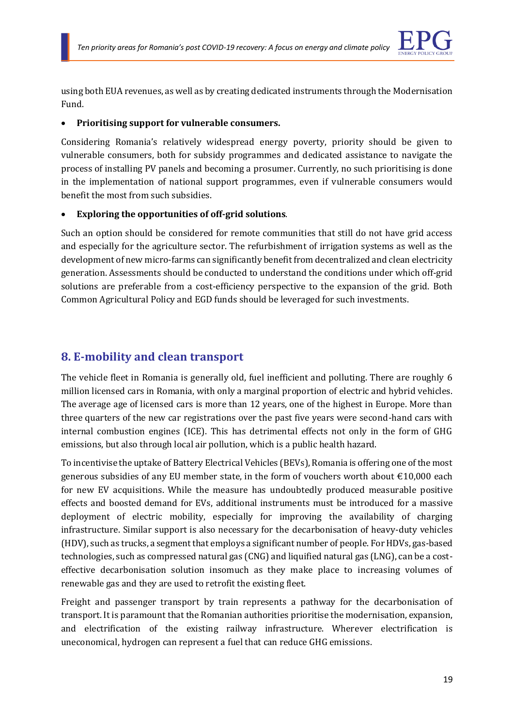

using both EUA revenues, as well as by creating dedicated instruments through the Modernisation Fund.

#### • **Prioritising support for vulnerable consumers.**

Considering Romania's relatively widespread energy poverty, priority should be given to vulnerable consumers, both for subsidy programmes and dedicated assistance to navigate the process of installing PV panels and becoming a prosumer. Currently, no such prioritising is done in the implementation of national support programmes, even if vulnerable consumers would benefit the most from such subsidies.

### • **Exploring the opportunities of off-grid solutions**.

Such an option should be considered for remote communities that still do not have grid access and especially for the agriculture sector. The refurbishment of irrigation systems as well as the development of new micro-farms can significantly benefit from decentralized and clean electricity generation. Assessments should be conducted to understand the conditions under which off-grid solutions are preferable from a cost-efficiency perspective to the expansion of the grid. Both Common Agricultural Policy and EGD funds should be leveraged for such investments.

### **8. E-mobility and clean transport**

The vehicle fleet in Romania is generally old, fuel inefficient and polluting. There are roughly 6 million licensed cars in Romania, with only a marginal proportion of electric and hybrid vehicles. The average age of licensed cars is more than 12 years, one of the highest in Europe. More than three quarters of the new car registrations over the past five years were second-hand cars with internal combustion engines (ICE). This has detrimental effects not only in the form of GHG emissions, but also through local air pollution, which is a public health hazard.

To incentivise the uptake of Battery Electrical Vehicles (BEVs), Romania is offering one of the most generous subsidies of any EU member state, in the form of vouchers worth about €10,000 each for new EV acquisitions. While the measure has undoubtedly produced measurable positive effects and boosted demand for EVs, additional instruments must be introduced for a massive deployment of electric mobility, especially for improving the availability of charging infrastructure. Similar support is also necessary for the decarbonisation of heavy-duty vehicles (HDV), such as trucks, a segment that employs a significant number of people. For HDVs, gas-based technologies, such as compressed natural gas (CNG) and liquified natural gas (LNG), can be a costeffective decarbonisation solution insomuch as they make place to increasing volumes of renewable gas and they are used to retrofit the existing fleet.

Freight and passenger transport by train represents a pathway for the decarbonisation of transport. It is paramount that the Romanian authorities prioritise the modernisation, expansion, and electrification of the existing railway infrastructure. Wherever electrification is uneconomical, hydrogen can represent a fuel that can reduce GHG emissions.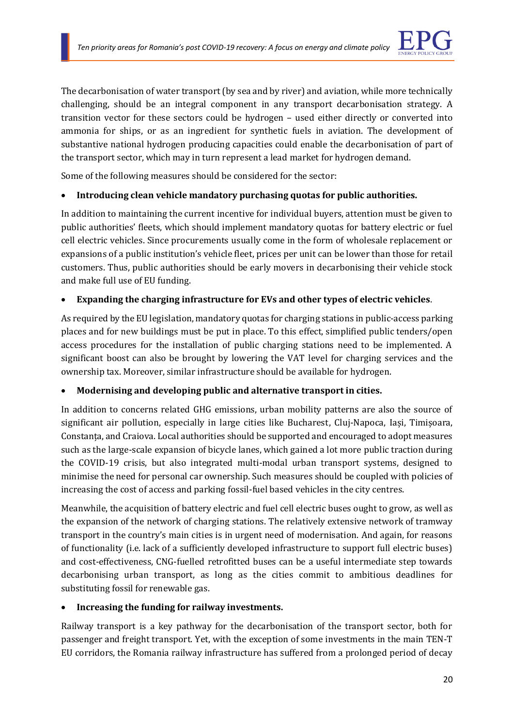

The decarbonisation of water transport (by sea and by river) and aviation, while more technically challenging, should be an integral component in any transport decarbonisation strategy. A transition vector for these sectors could be hydrogen – used either directly or converted into ammonia for ships, or as an ingredient for synthetic fuels in aviation. The development of substantive national hydrogen producing capacities could enable the decarbonisation of part of the transport sector, which may in turn represent a lead market for hydrogen demand.

Some of the following measures should be considered for the sector:

### • **Introducing clean vehicle mandatory purchasing quotas for public authorities.**

In addition to maintaining the current incentive for individual buyers, attention must be given to public authorities' fleets, which should implement mandatory quotas for battery electric or fuel cell electric vehicles. Since procurements usually come in the form of wholesale replacement or expansions of a public institution's vehicle fleet, prices per unit can be lower than those for retail customers. Thus, public authorities should be early movers in decarbonising their vehicle stock and make full use of EU funding.

### • **Expanding the charging infrastructure for EVs and other types of electric vehicles**.

As required by the EU legislation, mandatory quotas for charging stations in public-access parking places and for new buildings must be put in place. To this effect, simplified public tenders/open access procedures for the installation of public charging stations need to be implemented. A significant boost can also be brought by lowering the VAT level for charging services and the ownership tax. Moreover, similar infrastructure should be available for hydrogen.

### • **Modernising and developing public and alternative transport in cities.**

In addition to concerns related GHG emissions, urban mobility patterns are also the source of significant air pollution, especially in large cities like Bucharest, Cluj-Napoca, Iași, Timișoara, Constanța, and Craiova. Local authorities should be supported and encouraged to adopt measures such as the large-scale expansion of bicycle lanes, which gained a lot more public traction during the COVID-19 crisis, but also integrated multi-modal urban transport systems, designed to minimise the need for personal car ownership. Such measures should be coupled with policies of increasing the cost of access and parking fossil-fuel based vehicles in the city centres.

Meanwhile, the acquisition of battery electric and fuel cell electric buses ought to grow, as well as the expansion of the network of charging stations. The relatively extensive network of tramway transport in the country's main cities is in urgent need of modernisation. And again, for reasons of functionality (i.e. lack of a sufficiently developed infrastructure to support full electric buses) and cost-effectiveness, CNG-fuelled retrofitted buses can be a useful intermediate step towards decarbonising urban transport, as long as the cities commit to ambitious deadlines for substituting fossil for renewable gas.

### • **Increasing the funding for railway investments.**

Railway transport is a key pathway for the decarbonisation of the transport sector, both for passenger and freight transport. Yet, with the exception of some investments in the main TEN-T EU corridors, the Romania railway infrastructure has suffered from a prolonged period of decay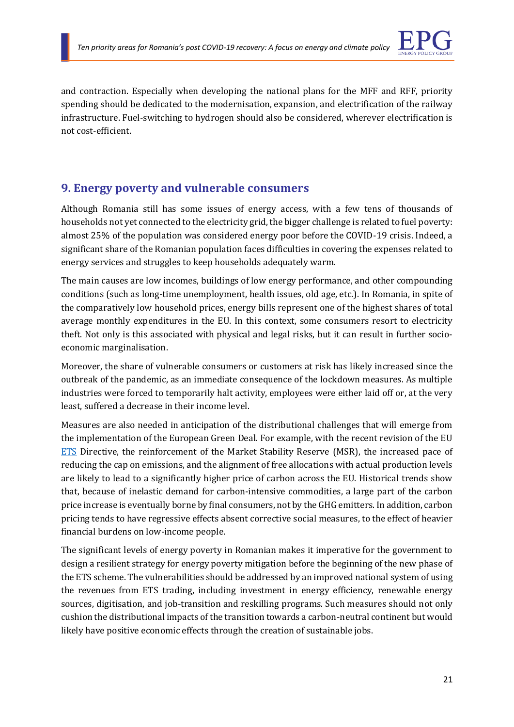

and contraction. Especially when developing the national plans for the MFF and RFF, priority spending should be dedicated to the modernisation, expansion, and electrification of the railway infrastructure. Fuel-switching to hydrogen should also be considered, wherever electrification is not cost-efficient.

### **9. Energy poverty and vulnerable consumers**

Although Romania still has some issues of energy access, with a few tens of thousands of households not yet connected to the electricity grid, the bigger challenge is related to fuel poverty: almost 25% of the population was considered energy poor before the COVID-19 crisis. Indeed, a significant share of the Romanian population faces difficulties in covering the expenses related to energy services and struggles to keep households adequately warm.

The main causes are low incomes, buildings of low energy performance, and other compounding conditions (such as long-time unemployment, health issues, old age, etc.). In Romania, in spite of the comparatively low household prices, energy bills represent one of the highest shares of total average monthly expenditures in the EU. In this context, some consumers resort to electricity theft. Not only is this associated with physical and legal risks, but it can result in further socioeconomic marginalisation.

Moreover, the share of vulnerable consumers or customers at risk has likely increased since the outbreak of the pandemic, as an immediate consequence of the lockdown measures. As multiple industries were forced to temporarily halt activity, employees were either laid off or, at the very least, suffered a decrease in their income level.

Measures are also needed in anticipation of the distributional challenges that will emerge from the implementation of the European Green Deal. For example, with the recent revision of the EU [ETS](https://eur-lex.europa.eu/legal-content/EN/TXT/?uri=uriserv:OJ.L_.2018.076.01.0003.01.ENG) Directive, the reinforcement of the Market Stability Reserve (MSR), the increased pace of reducing the cap on emissions, and the alignment of free allocations with actual production levels are likely to lead to a significantly higher price of carbon across the EU. Historical trends show that, because of inelastic demand for carbon-intensive commodities, a large part of the carbon price increase is eventually borne by final consumers, not by the GHG emitters. In addition, carbon pricing tends to have regressive effects absent corrective social measures, to the effect of heavier financial burdens on low-income people.

The significant levels of energy poverty in Romanian makes it imperative for the government to design a resilient strategy for energy poverty mitigation before the beginning of the new phase of the ETS scheme. The vulnerabilities should be addressed by an improved national system of using the revenues from ETS trading, including investment in energy efficiency, renewable energy sources, digitisation, and job-transition and reskilling programs. Such measures should not only cushion the distributional impacts of the transition towards a carbon-neutral continent but would likely have positive economic effects through the creation of sustainable jobs.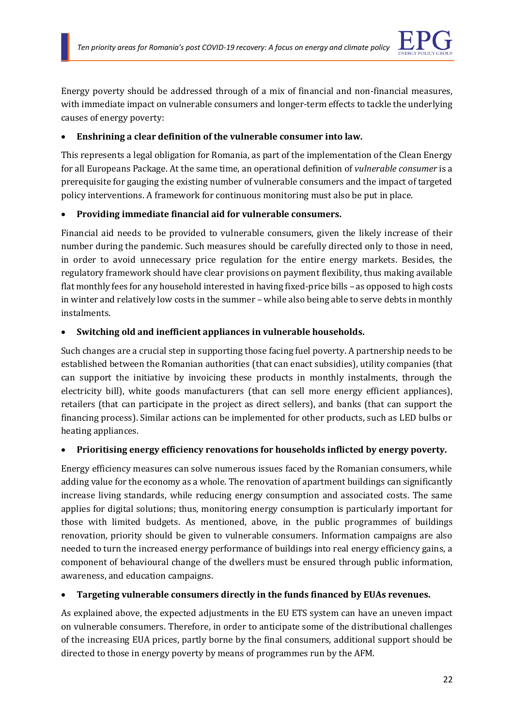

Energy poverty should be addressed through of a mix of financial and non-financial measures, with immediate impact on vulnerable consumers and longer-term effects to tackle the underlying causes of energy poverty:

### • **Enshrining a clear definition of the vulnerable consumer into law.**

This represents a legal obligation for Romania, as part of the implementation of the Clean Energy for all Europeans Package. At the same time, an operational definition of *vulnerable consumer* is a prerequisite for gauging the existing number of vulnerable consumers and the impact of targeted policy interventions. A framework for continuous monitoring must also be put in place.

### • **Providing immediate financial aid for vulnerable consumers.**

Financial aid needs to be provided to vulnerable consumers, given the likely increase of their number during the pandemic. Such measures should be carefully directed only to those in need, in order to avoid unnecessary price regulation for the entire energy markets. Besides, the regulatory framework should have clear provisions on payment flexibility, thus making available flat monthly fees for any household interested in having fixed-price bills – as opposed to high costs in winter and relatively low costs in the summer – while also being able to serve debts in monthly instalments.

### • **Switching old and inefficient appliances in vulnerable households.**

Such changes are a crucial step in supporting those facing fuel poverty. A partnership needs to be established between the Romanian authorities (that can enact subsidies), utility companies (that can support the initiative by invoicing these products in monthly instalments, through the electricity bill), white goods manufacturers (that can sell more energy efficient appliances), retailers (that can participate in the project as direct sellers), and banks (that can support the financing process). Similar actions can be implemented for other products, such as LED bulbs or heating appliances.

### • **Prioritising energy efficiency renovations for households inflicted by energy poverty.**

Energy efficiency measures can solve numerous issues faced by the Romanian consumers, while adding value for the economy as a whole. The renovation of apartment buildings can significantly increase living standards, while reducing energy consumption and associated costs. The same applies for digital solutions; thus, monitoring energy consumption is particularly important for those with limited budgets. As mentioned, above, in the public programmes of buildings renovation, priority should be given to vulnerable consumers. Information campaigns are also needed to turn the increased energy performance of buildings into real energy efficiency gains, a component of behavioural change of the dwellers must be ensured through public information, awareness, and education campaigns.

### • **Targeting vulnerable consumers directly in the funds financed by EUAs revenues.**

As explained above, the expected adjustments in the EU ETS system can have an uneven impact on vulnerable consumers. Therefore, in order to anticipate some of the distributional challenges of the increasing EUA prices, partly borne by the final consumers, additional support should be directed to those in energy poverty by means of programmes run by the AFM.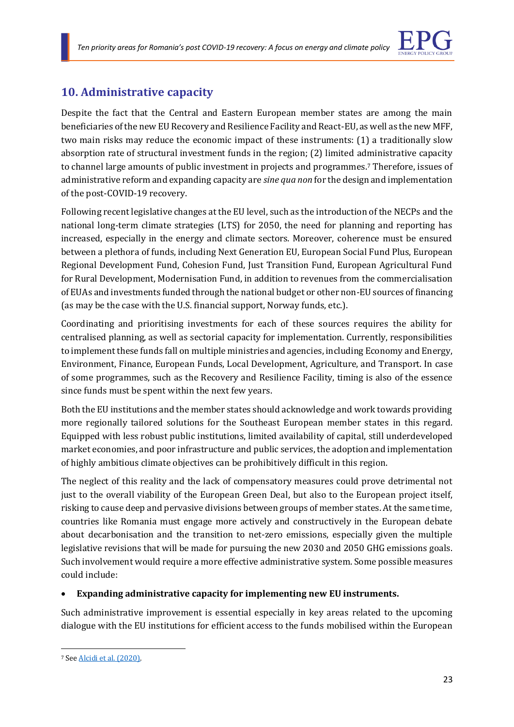

### **10. Administrative capacity**

Despite the fact that the Central and Eastern European member states are among the main beneficiaries of the new EU Recovery and Resilience Facility and React-EU, as well as the new MFF, two main risks may reduce the economic impact of these instruments: (1) a traditionally slow absorption rate of structural investment funds in the region; (2) limited administrative capacity to channel large amounts of public investment in projects and programmes.<sup>7</sup> Therefore, issues of administrative reform and expanding capacity are *sine qua non* for the design and implementation of the post-COVID-19 recovery.

Following recent legislative changes at the EU level, such as the introduction of the NECPs and the national long-term climate strategies (LTS) for 2050, the need for planning and reporting has increased, especially in the energy and climate sectors. Moreover, coherence must be ensured between a plethora of funds, including Next Generation EU, European Social Fund Plus, European Regional Development Fund, Cohesion Fund, Just Transition Fund, European Agricultural Fund for Rural Development, Modernisation Fund, in addition to revenues from the commercialisation of EUAs and investments funded through the national budget or other non-EU sources of financing (as may be the case with the U.S. financial support, Norway funds, etc.).

Coordinating and prioritising investments for each of these sources requires the ability for centralised planning, as well as sectorial capacity for implementation. Currently, responsibilities to implement these funds fall on multiple ministries and agencies, including Economy and Energy, Environment, Finance, European Funds, Local Development, Agriculture, and Transport. In case of some programmes, such as the Recovery and Resilience Facility, timing is also of the essence since funds must be spent within the next few years.

Both the EU institutions and the member states should acknowledge and work towards providing more regionally tailored solutions for the Southeast European member states in this regard. Equipped with less robust public institutions, limited availability of capital, still underdeveloped market economies, and poor infrastructure and public services, the adoption and implementation of highly ambitious climate objectives can be prohibitively difficult in this region.

The neglect of this reality and the lack of compensatory measures could prove detrimental not just to the overall viability of the European Green Deal, but also to the European project itself, risking to cause deep and pervasive divisions between groups of member states. At the same time, countries like Romania must engage more actively and constructively in the European debate about decarbonisation and the transition to net-zero emissions, especially given the multiple legislative revisions that will be made for pursuing the new 2030 and 2050 GHG emissions goals. Such involvement would require a more effective administrative system. Some possible measures could include:

### • **Expanding administrative capacity for implementing new EU instruments.**

Such administrative improvement is essential especially in key areas related to the upcoming dialogue with the EU institutions for efficient access to the funds mobilised within the European

<sup>7</sup> Se[e Alcidi et al. \(2020\).](https://www.ceps.eu/ceps-publications/who-will-really-benefit-from-the-next-generation-eu-funds/)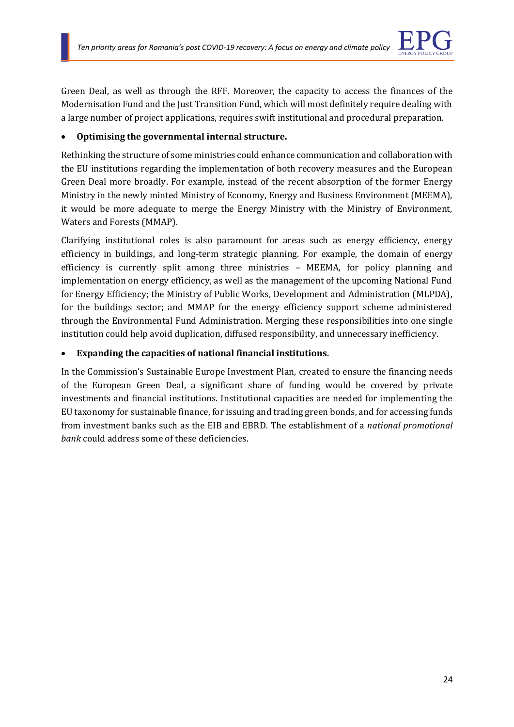

Green Deal, as well as through the RFF. Moreover, the capacity to access the finances of the Modernisation Fund and the Just Transition Fund, which will most definitely require dealing with a large number of project applications, requires swift institutional and procedural preparation.

### • **Optimising the governmental internal structure.**

Rethinking the structure of some ministries could enhance communication and collaboration with the EU institutions regarding the implementation of both recovery measures and the European Green Deal more broadly. For example, instead of the recent absorption of the former Energy Ministry in the newly minted Ministry of Economy, Energy and Business Environment (MEEMA), it would be more adequate to merge the Energy Ministry with the Ministry of Environment, Waters and Forests (MMAP).

Clarifying institutional roles is also paramount for areas such as energy efficiency, energy efficiency in buildings, and long-term strategic planning. For example, the domain of energy efficiency is currently split among three ministries – MEEMA, for policy planning and implementation on energy efficiency, as well as the management of the upcoming National Fund for Energy Efficiency; the Ministry of Public Works, Development and Administration (MLPDA), for the buildings sector; and MMAP for the energy efficiency support scheme administered through the Environmental Fund Administration. Merging these responsibilities into one single institution could help avoid duplication, diffused responsibility, and unnecessary inefficiency.

### • **Expanding the capacities of national financial institutions.**

In the Commission's Sustainable Europe Investment Plan, created to ensure the financing needs of the European Green Deal, a significant share of funding would be covered by private investments and financial institutions. Institutional capacities are needed for implementing the EU taxonomy for sustainable finance, for issuing and trading green bonds, and for accessing funds from investment banks such as the EIB and EBRD. The establishment of a *national promotional bank* could address some of these deficiencies.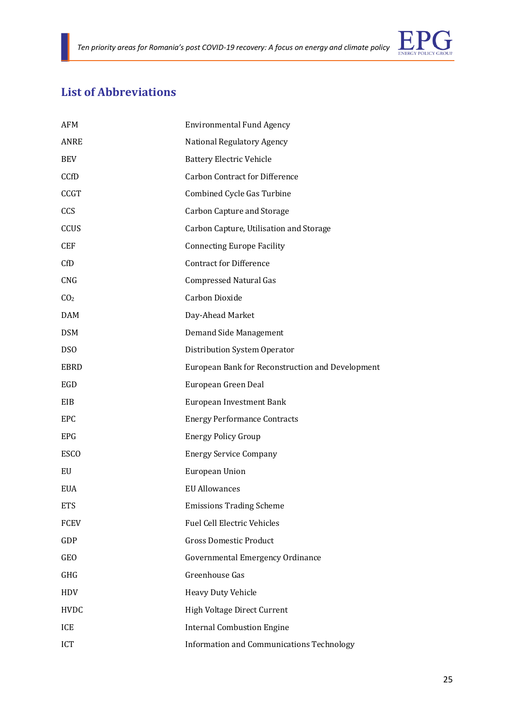

### **List of Abbreviations**

| AFM             | <b>Environmental Fund Agency</b>                 |
|-----------------|--------------------------------------------------|
| ANRE            | National Regulatory Agency                       |
| <b>BEV</b>      | <b>Battery Electric Vehicle</b>                  |
| CCfD            | <b>Carbon Contract for Difference</b>            |
| <b>CCGT</b>     | Combined Cycle Gas Turbine                       |
| CCS             | <b>Carbon Capture and Storage</b>                |
| CCUS            | Carbon Capture, Utilisation and Storage          |
| <b>CEF</b>      | <b>Connecting Europe Facility</b>                |
| CfD             | <b>Contract for Difference</b>                   |
| <b>CNG</b>      | <b>Compressed Natural Gas</b>                    |
| CO <sub>2</sub> | Carbon Dioxide                                   |
| <b>DAM</b>      | Day-Ahead Market                                 |
| <b>DSM</b>      | Demand Side Management                           |
| <b>DSO</b>      | Distribution System Operator                     |
| EBRD            | European Bank for Reconstruction and Development |
| EGD             | European Green Deal                              |
| EIB             | European Investment Bank                         |
| EPC             | <b>Energy Performance Contracts</b>              |
| <b>EPG</b>      | <b>Energy Policy Group</b>                       |
| <b>ESCO</b>     | <b>Energy Service Company</b>                    |
| EU              | European Union                                   |
| <b>EUA</b>      | <b>EU Allowances</b>                             |
| <b>ETS</b>      | <b>Emissions Trading Scheme</b>                  |
| <b>FCEV</b>     | <b>Fuel Cell Electric Vehicles</b>               |
| GDP             | <b>Gross Domestic Product</b>                    |
| <b>GEO</b>      | Governmental Emergency Ordinance                 |
| GHG             | Greenhouse Gas                                   |
| HDV             | Heavy Duty Vehicle                               |
| <b>HVDC</b>     | High Voltage Direct Current                      |
| ICE             | <b>Internal Combustion Engine</b>                |
| ICT             | <b>Information and Communications Technology</b> |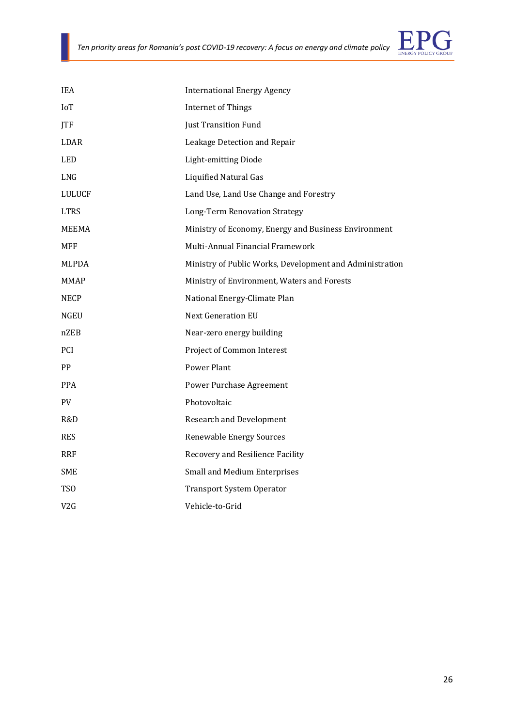

| <b>IEA</b>       | <b>International Energy Agency</b>                       |
|------------------|----------------------------------------------------------|
| IoT              | <b>Internet of Things</b>                                |
| <b>ITF</b>       | Just Transition Fund                                     |
| <b>LDAR</b>      | Leakage Detection and Repair                             |
| <b>LED</b>       | Light-emitting Diode                                     |
| <b>LNG</b>       | <b>Liquified Natural Gas</b>                             |
| <b>LULUCF</b>    | Land Use, Land Use Change and Forestry                   |
| <b>LTRS</b>      | <b>Long-Term Renovation Strategy</b>                     |
| MEEMA            | Ministry of Economy, Energy and Business Environment     |
| <b>MFF</b>       | Multi-Annual Financial Framework                         |
| <b>MLPDA</b>     | Ministry of Public Works, Development and Administration |
| <b>MMAP</b>      | Ministry of Environment, Waters and Forests              |
| <b>NECP</b>      | National Energy-Climate Plan                             |
| <b>NGEU</b>      | <b>Next Generation EU</b>                                |
| nZEB             | Near-zero energy building                                |
| PCI              | Project of Common Interest                               |
| PP               | Power Plant                                              |
| <b>PPA</b>       | Power Purchase Agreement                                 |
| <b>PV</b>        | Photovoltaic                                             |
| R&D              | <b>Research and Development</b>                          |
| <b>RES</b>       | <b>Renewable Energy Sources</b>                          |
| <b>RRF</b>       | Recovery and Resilience Facility                         |
| <b>SME</b>       | <b>Small and Medium Enterprises</b>                      |
| TSO              | <b>Transport System Operator</b>                         |
| V <sub>2</sub> G | Vehicle-to-Grid                                          |